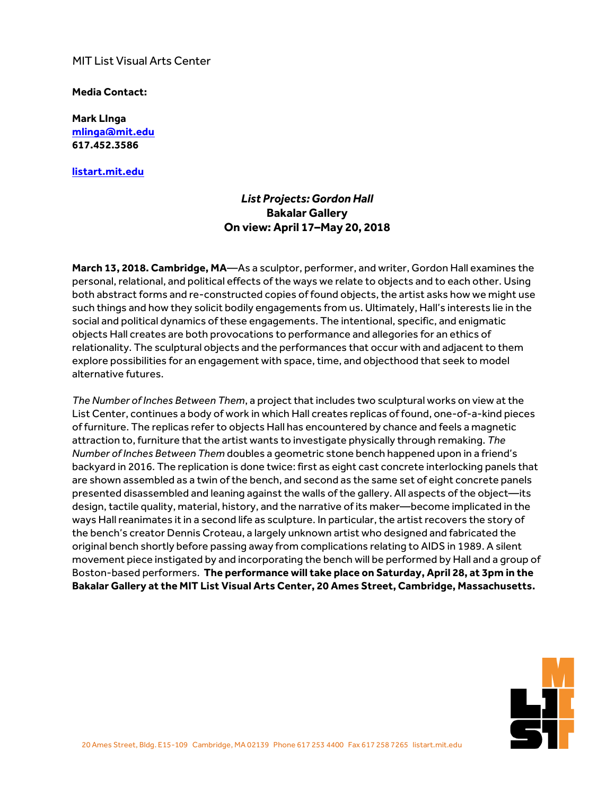## MIT List Visual Arts Center

## **Media Contact:**

**Mark LInga [mlinga@mit.edu](mailto:mlinga@mit.edu) [617.452.3586](tel:6174523586)**

**<listart.mit.edu>**

## *List Projects: Gordon Hall* **Bakalar Gallery On view: April 17–May 20, 2018**

**March 13, 2018. Cambridge, MA**—As a sculptor, performer, and writer, Gordon Hall examines the personal, relational, and political effects ofthe ways we relate to objects and to each other. Using both abstract forms and re-constructed copies of found objects, the artist asks how we might use such things and how they solicit bodily engagements from us. Ultimately, Hall's interests lie in the social and political dynamics of these engagements. The intentional, specific, and enigmatic objects Hall creates are both provocations to performance and allegories for an ethics of relationality. The sculptural objects and the performances that occur with and adjacent to them explore possibilities for an engagement with space, time, and objecthood that seek to model alternative futures.

*The Number of Inches Between Them*, a projectthatincludes two sculptural works on view atthe List Center, continues a body of work in which Hall creates replicas of found, one-of-a-kind pieces of furniture. The replicas referto objects Hall has encountered by chance and feels a magnetic attraction to, furniture that the artist wants to investigate physically through remaking. The *Number of Inches Between Them* doubles a geometric stone bench happened upon in a friend's backyard in 2016. The replication is done twice: first as eight cast concrete interlocking panels that are shown assembled as a twin of the bench, and second as the same set of eight concrete panels presented disassembled and leaning against the walls of the gallery. All aspects of the object—its design, tactile quality, material, history, and the narrative of its maker—become implicated in the ways Hall reanimates it in a second life as sculpture. In particular, the artist recovers the story of the bench's creator Dennis Croteau, a largely unknown artist who designed and fabricated the original bench shortly before passing away from complications relating to AIDS in 1989. A silent movement piece instigated by and incorporating the bench will be performed by Hall and a group of Boston-based performers. **The performance will take place on Saturday, April 28, at 3pm in the Bakalar Gallery at the MIT List Visual Arts Center, 20 Ames Street, Cambridge, Massachusetts.**

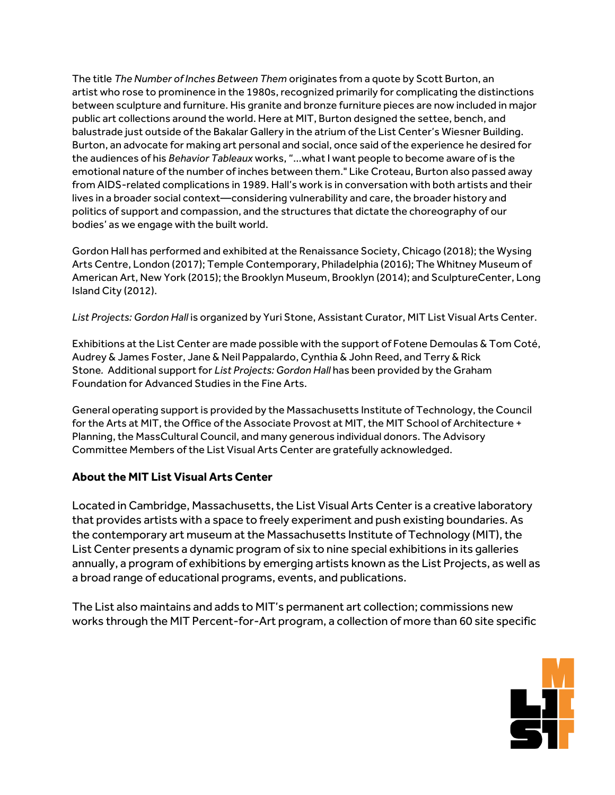The title *The Number of Inches Between Them* originates from a quote by Scott Burton, an artist who rose to prominence in the 1980s, recognized primarily for complicating the distinctions between sculpture and furniture. His granite and bronze furniture pieces are now included in major public art collections around the world. Here at MIT, Burton designed the settee, bench, and balustrade just outside ofthe Bakalar Gallery in the atrium ofthe List Center's Wiesner Building. Burton, an advocate for making art personal and social, once said ofthe experience he desired for the audiences of his *Behavior Tableaux* works, "...whatI want people to become aware of is the emotional nature ofthe number of inches between them." Like Croteau, Burton also passed away from AIDS-related complications in 1989. Hall's work is in conversation with both artists and their lives in a broader social context—considering vulnerability and care, the broader history and politics of support and compassion, and the structures that dictate the choreography of our bodies' as we engage with the built world.

Gordon Hall has performed and exhibited at the Renaissance Society, Chicago (2018); the Wysing Arts Centre, London (2017); Temple Contemporary, Philadelphia (2016); The Whitney Museum of American Art, New York (2015); the Brooklyn Museum, Brooklyn (2014); and SculptureCenter, Long Island City (2012).

*List Projects: Gordon Hall* is organized by Yuri Stone, Assistant Curator, MIT List Visual Arts Center.

Exhibitions at the List Center are made possible with the support of Fotene Demoulas & Tom Coté, Audrey & James Foster, Jane & Neil Pappalardo, Cynthia & John Reed, and Terry & Rick Stone. Additional support for *List Projects: Gordon Hall* has been provided by the Graham Foundation for Advanced Studies in the Fine Arts.

General operating support is provided by the Massachusetts Institute of Technology, the Council for the Arts at MIT, the Office of the Associate Provost at MIT, the MIT School of Architecture + Planning, the MassCultural Council, and many generous individual donors. The Advisory Committee Members ofthe List Visual Arts Center are gratefully acknowledged.

## **About the MIT List Visual Arts Center**

Located in Cambridge, Massachusetts, the List Visual Arts Center is a creative laboratory that provides artists with a space to freely experiment and push existing boundaries. As the contemporary art museum at the Massachusetts Institute of Technology (MIT), the List Center presents a dynamic program of six to nine special exhibitions in its galleries annually, a program of exhibitions by emerging artists known as the List Projects, as well as a broad range of educational programs, events, and publications.

The List also maintains and adds to MIT's permanent art collection; commissions new works through the MIT Percent-for-Art program, a collection of more than 60 site specific